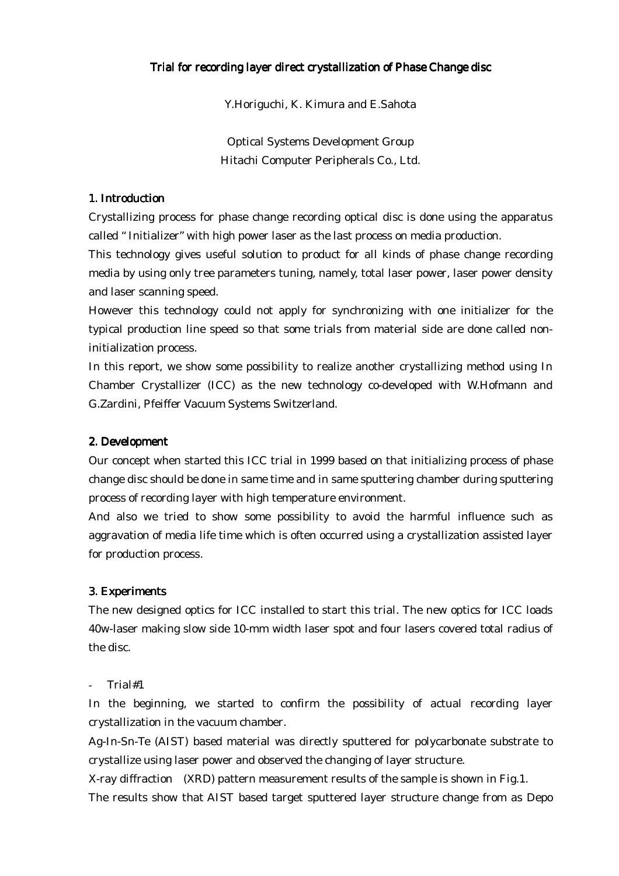### Trial for recording layer direct crystallization of Phase Change disc

Y.Horiguchi, K. Kimura and E.Sahota

Optical Systems Development Group Hitachi Computer Peripherals Co., Ltd.

### 1. Introduction

Crystallizing process for phase change recording optical disc is done using the apparatus called " Initializer" with high power laser as the last process on media production.

This technology gives useful solution to product for all kinds of phase change recording media by using only tree parameters tuning, namely, total laser power, laser power density and laser scanning speed.

However this technology could not apply for synchronizing with one initializer for the typical production line speed so that some trials from material side are done called noninitialization process.

In this report, we show some possibility to realize another crystallizing method using In Chamber Crystallizer (ICC) as the new technology co-developed with W.Hofmann and G.Zardini, Pfeiffer Vacuum Systems Switzerland.

### 2. Development

Our concept when started this ICC trial in 1999 based on that initializing process of phase change disc should be done in same time and in same sputtering chamber during sputtering process of recording layer with high temperature environment.

And also we tried to show some possibility to avoid the harmful influence such as aggravation of media life time which is often occurred using a crystallization assisted layer for production process.

#### 3. Experiments

The new designed optics for ICC installed to start this trial. The new optics for ICC loads 40w-laser making slow side 10-mm width laser spot and four lasers covered total radius of the disc.

#### - Trial#1

In the beginning, we started to confirm the possibility of actual recording layer crystallization in the vacuum chamber.

Ag-In-Sn-Te (AIST) based material was directly sputtered for polycarbonate substrate to crystallize using laser power and observed the changing of layer structure.

X-ray diffraction (XRD) pattern measurement results of the sample is shown in Fig.1.

The results show that AIST based target sputtered layer structure change from as Depo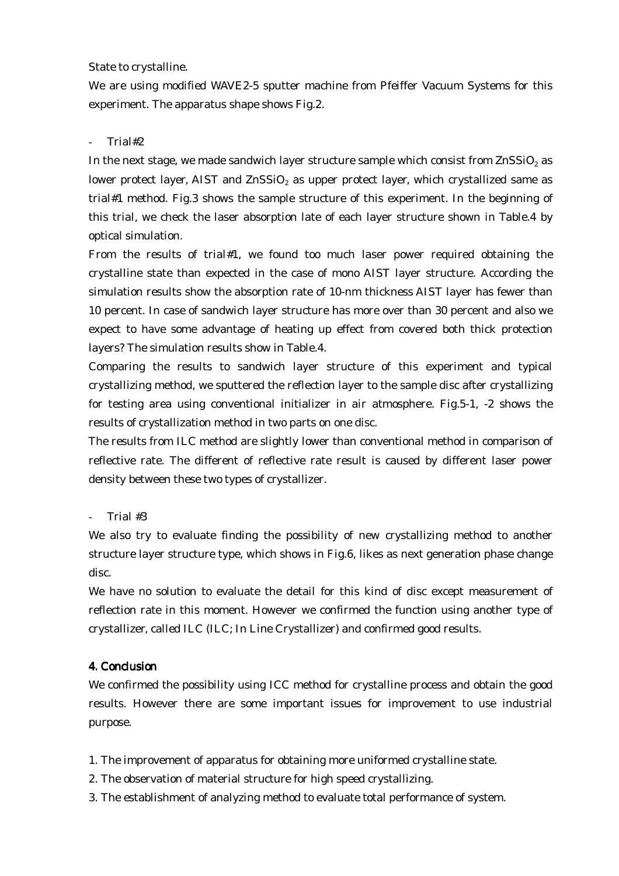## State to crystalline.

We are using modified WAVE2-5 sputter machine from Pfeiffer Vacuum Systems for this experiment. The apparatus shape shows Fig.2.

# - Trial#2

In the next stage, we made sandwich layer structure sample which consist from  $\text{ZnSSiO}_2$  as lower protect layer, AIST and  $ZnSSiO<sub>2</sub>$  as upper protect layer, which crystallized same as trial#1 method. Fig.3 shows the sample structure of this experiment. In the beginning of this trial, we check the laser absorption late of each layer structure shown in Table.4 by optical simulation.

From the results of trial#1, we found too much laser power required obtaining the crystalline state than expected in the case of mono AIST layer structure. According the simulation results show the absorption rate of 10-nm thickness AIST layer has fewer than 10 percent. In case of sandwich layer structure has more over than 30 percent and also we expect to have some advantage of heating up effect from covered both thick protection layers? The simulation results show in Table.4.

Comparing the results to sandwich layer structure of this experiment and typical crystallizing method, we sputtered the reflection layer to the sample disc after crystallizing for testing area using conventional initializer in air atmosphere. Fig.5-1, -2 shows the results of crystallization method in two parts on one disc.

The results from ILC method are slightly lower than conventional method in comparison of reflective rate. The different of reflective rate result is caused by different laser power density between these two types of crystallizer.

# - Trial #3

We also try to evaluate finding the possibility of new crystallizing method to another structure layer structure type, which shows in Fig.6, likes as next generation phase change disc.

We have no solution to evaluate the detail for this kind of disc except measurement of reflection rate in this moment. However we confirmed the function using another type of crystallizer, called ILC (ILC; In Line Crystallizer) and confirmed good results.

# 4. Conclusion

We confirmed the possibility using ICC method for crystalline process and obtain the good results. However there are some important issues for improvement to use industrial purpose.

- 1. The improvement of apparatus for obtaining more uniformed crystalline state.
- 2. The observation of material structure for high speed crystallizing.
- 3. The establishment of analyzing method to evaluate total performance of system.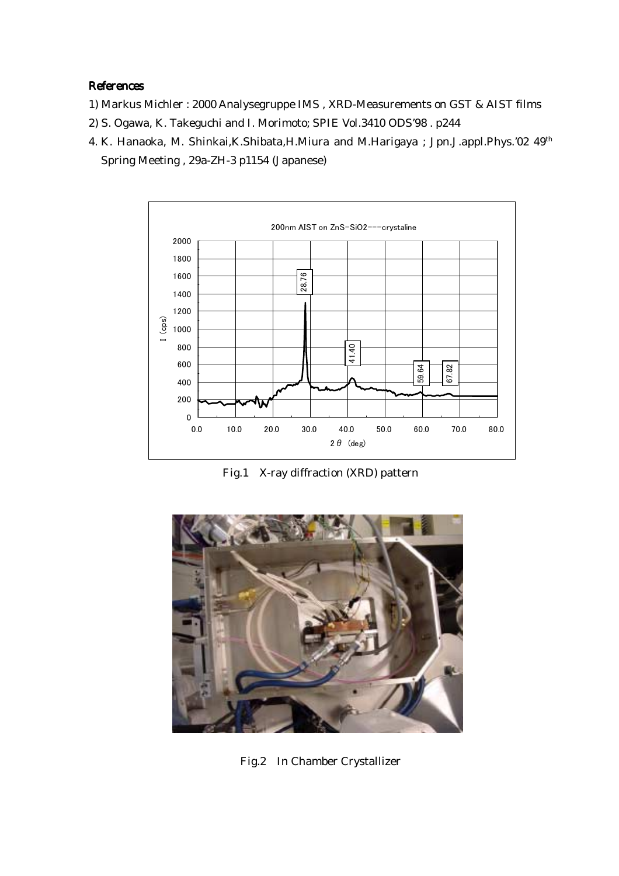## References

- 1) Markus Michler : 2000 Analysegruppe IMS , XRD-Measurements on GST & AIST films
- 2) S. Ogawa, K. Takeguchi and I. Morimoto; SPIE Vol.3410 ODS'98 . p244
- 4. K. Hanaoka, M. Shinkai, K. Shibata, H. Miura and M. Harigaya; Jpn. J. appl. Phys.'02 49<sup>th</sup> Spring Meeting , 29a-ZH-3 p1154 (Japanese)



Fig.1 X-ray diffraction (XRD) pattern



Fig.2 In Chamber Crystallizer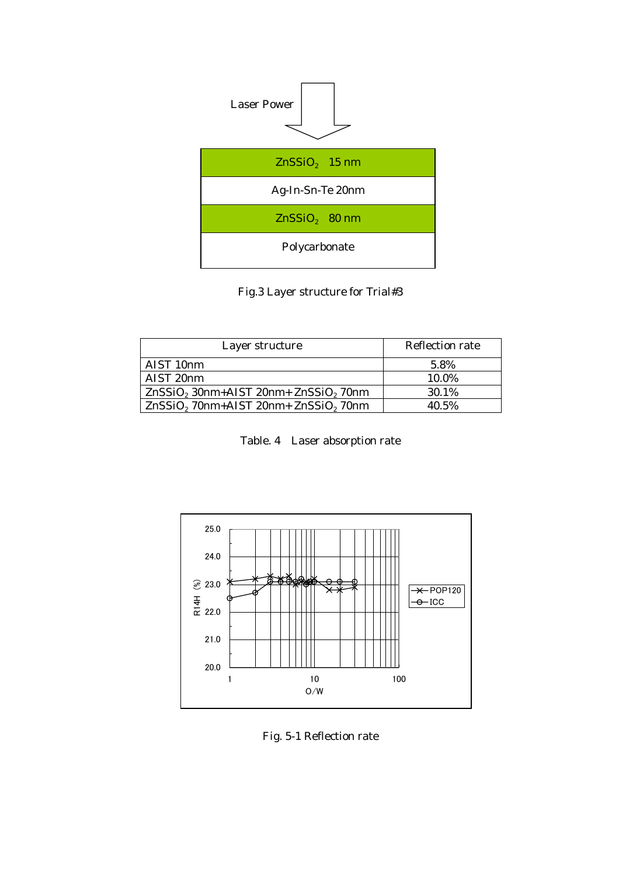

Fig.3 Layer structure for Trial#3

| Layer structure                          | <b>Reflection rate</b> |  |
|------------------------------------------|------------------------|--|
| AIST 10 <sub>nm</sub>                    | 5.8%                   |  |
| AIST 20nm                                | 10.0%                  |  |
| $ZnSSiO2$ 30nm+AIST 20nm+ $ZnSSiO2$ 70nm | 30.1%                  |  |
| ZnSSiO, 70nm+AIST 20nm+ ZnSSiO, 70nm     | 40.5%                  |  |

| Table. 4 Laser absorption rate |  |  |  |  |
|--------------------------------|--|--|--|--|
|--------------------------------|--|--|--|--|



Fig. 5-1 Reflection rate